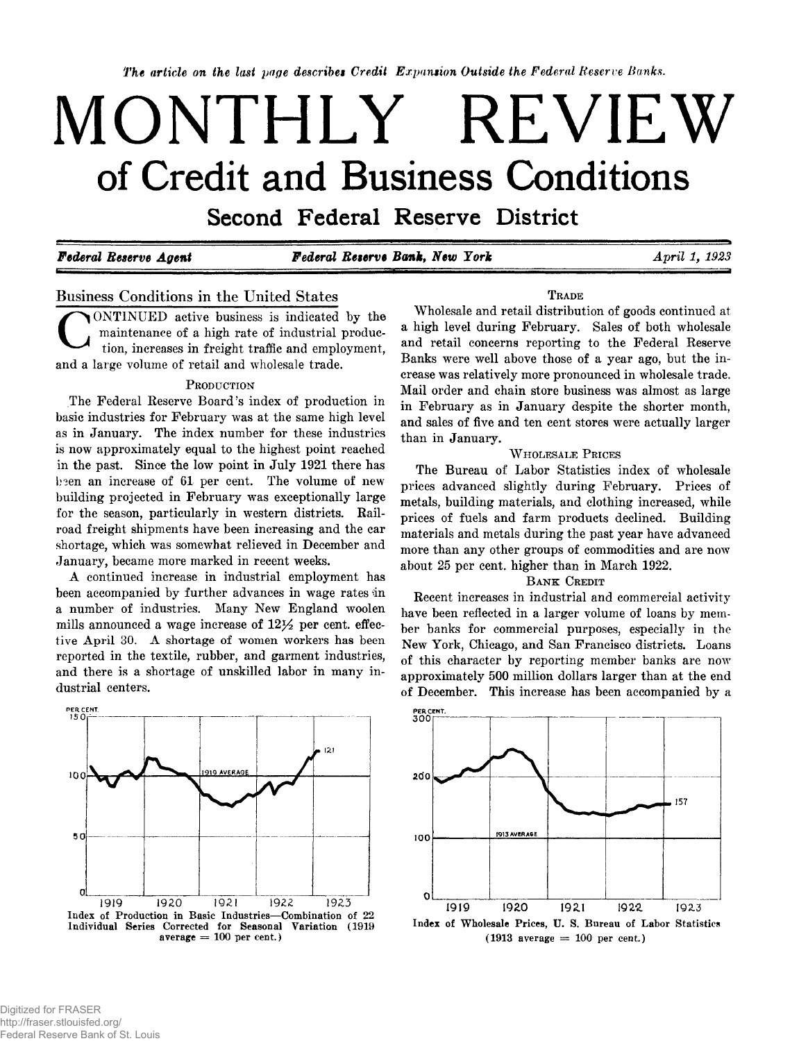*The article on the last page describes Credit Expansion Outside the Federal Reserve Banks.*

# **MONTHLY REVIEW** of Credit and Business Conditions

Second Federal Reserve District

*Federal Reserve Agent Federal Reserve Bank, New York April 1, 1923*

### **Business Conditions in the United States**

C ONTINUED active business is indicated by the maintenance of a high rate of industrial production, increases in freight traffic and employment, and a large volume of retail and wholesale trade.

### PRODUCTION

The Federal Reserve Board's index of production in basic industries for February was at the same high level as in January. The index number for these industries is now approximately equal to the highest point reached in the past. Since the low point in July 1921 there has been an increase of 61 per cent. The volume of new building projected in February was exceptionally large for the season, particularly in western districts. Railroad freight shipments have been increasing and the car shortage, which was somewhat relieved in December and January, became more marked in recent weeks.

A continued increase in industrial employment has been accompanied by further advances in wage rates in a number of industries. Many New England woolen mills announced a wage increase of  $12\frac{1}{2}$  per cent, effective April 30. A shortage of women workers has been reported in the textile, rubber, and garment industries, and there is a shortage of unskilled labor in many industrial centers.



**T rade**

Wholesale and retail distribution of goods continued at a high level during February. Sales of both wholesale and retail concerns reporting to the Federal Reserve Banks were well above those of a year ago, but the increase was relatively more pronounced in wholesale trade. Mail order and chain store business was almost as large in February as in January despite the shorter month, and sales of five and ten cent stores were actually larger than in January.

### **WHOLESALE PRICES**

The Bureau of Labor Statistics index of wholesale prices advanced slightly during February. Prices of metals, building materials, and clothing increased, while prices of fuels and farm products declined. Building materials and metals during the past year have advanced more than any other groups of commodities and are now about 25 per cent, higher than in March 1922.

### **BANK** CREDIT

Recent increases in industrial and commercial activity have been reflected in a larger volume of loans by member banks for commercial purposes, especially in the New York, Chicago, and San Francisco districts. Loans of this character by reporting member banks are now approximately 500 million dollars larger than at the end of December. This increase has been accompanied by a



**Index of Wholesale Prices, U. S. Bureau of Labor Statistics**  $(1913 \text{ average} = 100 \text{ per cent.})$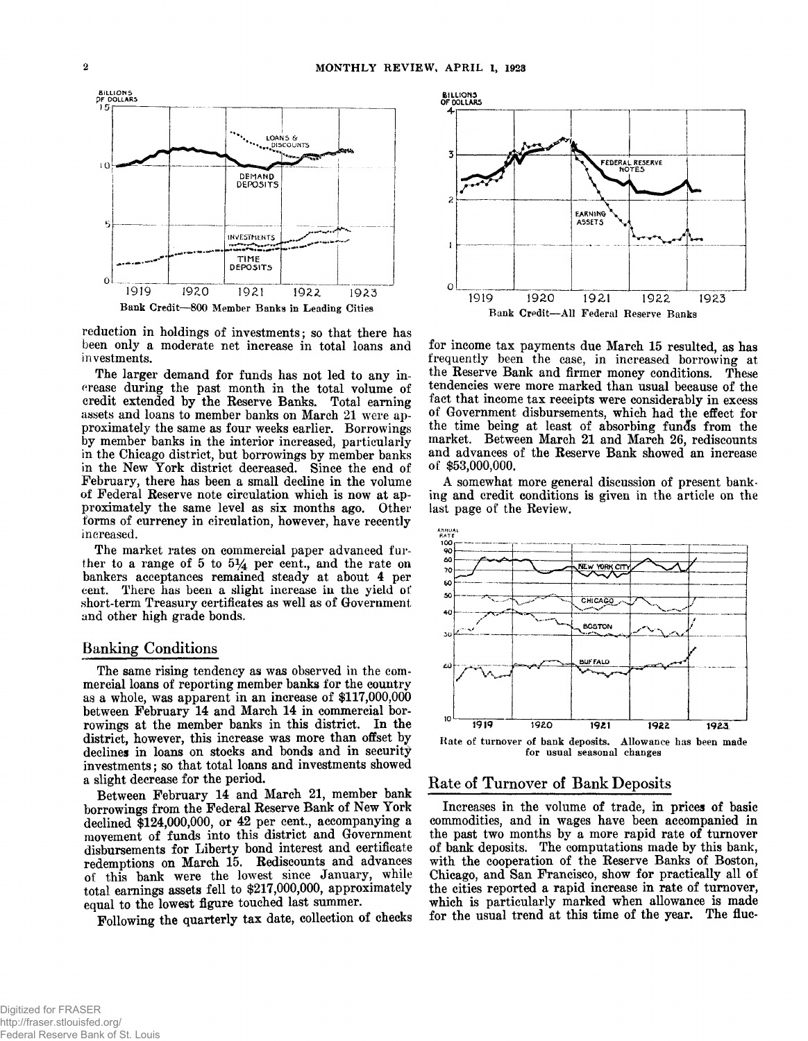

reduction in holdings of investments; so that there has **been only a moderate net increase in total loans and investments.**

**The larger demand for funds has not led to any increase during the past month in the total volume of** credit extended by the Reserve Banks. Total earning assets and loans to member banks on March 21 were ap**proxim ately the same as four weeks earlier. Borrowings by member banks in the interior increased, particularly** in the Chicago district, but borrowings by member banks in the New York district decreased. Since the end of February, there has been a small decline in the volume **of Federal Reserve note circulation which is now at approxim ately the same level as six months ago. Other forms of currency in circulation, however, have recently increased.**

The market rates on commercial paper advanced fur**ther to a range of 5 to** *5%* **per cent., and the rate on bankers acceptances remained steady at about 4 per cent. There has been a slight increase in the yield of** short-term Treasury certificates as well as of Government **and other high grade bonds.**

### **Banking Conditions**

**The same rising tendency as was observed in the com**mercial loans of reporting member banks for the country as a whole, was apparent in an increase of \$117,000,000 between February 14 and March 14 in commercial bor**rowings at the member banks in this district. In the district, however, this increase was more than offset by declines in loans on stocks and bonds and in security investm ents; so that total loans and investments showed a slight decrease for the period.**

Between February 14 and March 21, member bank borrowings from the Federal Reserve Bank of New York declined \$124,000,000, or 42 per cent., accompanying a **movement of funds into this district and Government** disbursements for Liberty bond interest and certificate redemptions on March 15. Rediscounts and advances of this bank were the lowest since January, while **total earnings assets fell to \$217,000,000, approxim ately equal to the lowest figure touched last summer.**

Following the quarterly tax date, collection of checks



for income tax payments due March 15 resulted, as has **frequently been the case, in increased borrowing at** the Reserve Bank and firmer money conditions. These **tendencies were more marked than usual because of the fact that income tax receipts were considerably in excess of Government disbursements, which had the effect for the time being at least of absorbing funds from the** market. Between March 21 and March 26, rediscounts and advances of the Reserve Bank showed an increase **of \$53,000,000.**

**A somewhat more general discussion of present banking and credit conditions is given in the article on the last page of the Review.**



### **Rate of Turnover of Bank Deposits**

**Increases in the volume of trade, in prices of basic commodities, and in wages have been accompanied in** the past two months by a more rapid rate of turnover **of bank deposits. The computations made by this bank, with the cooperation of the Reserve Banks of Boston,** Chicago, and San Francisco, show for practically all of **the cities reported a rapid increase in rate of turnover,** which is particularly marked when allowance is made **for the usual trend at this time of the year. The flue-**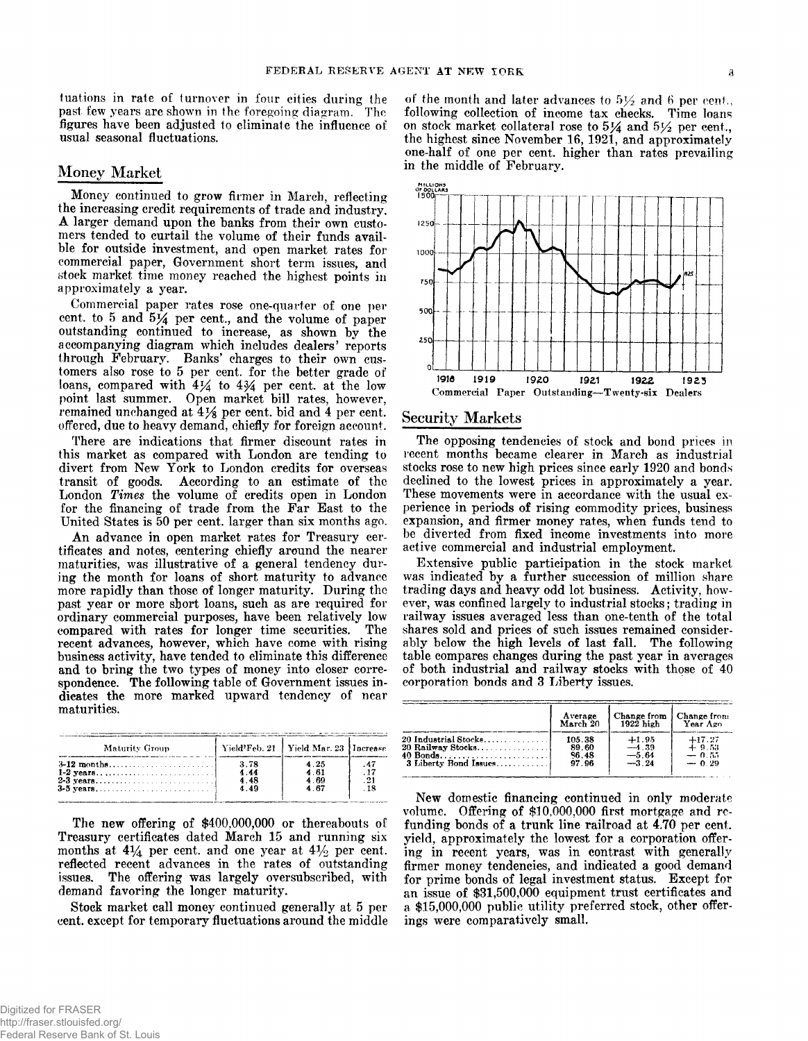tuations in rate of turnover in four cities during the past few years are shown in the foregoing diagram. The figures have been adjusted to eliminate the influence of usual seasonal fluctuations.

### **Money Market**

Money continued to grow firmer in March, reflecting the increasing credit requirements of trade and industry. A larger demand upon the banks from their own customers tended to curtail the volume of their funds availble for outside investment, and open market rates for commercial paper, Government short term issues, and 8tock market time money reached the highest points in approximately a year.

Commercial paper rates rose one-quarter of one per cent, to 5 and 5J4 per cent., and the volume of paper outstanding continued to increase, as shown by the accompanying diagram which includes dealers' reports through February. Banks' charges to their own customers also rose to 5 per cent, for the better grade of loans, compared with  $4\frac{1}{4}$  to  $4\frac{3}{4}$  per cent. at the low point last summer. Open market bill rates, however, remained unchanged at  $4\frac{1}{8}$  per cent, bid and  $4$  per cent. offered, due to heavy demand, chiefly for foreign account.

There are indications that firmer discount rates in this market as compared with London are tending to divert from New York to London credits for overseas transit of goods. According to an estimate of the London *Times* the volume of credits open in London for the financing of trade from the Far East to the United States is 50 per cent, larger than six months ago.

An advance in open market rates for Treasury certificates and notes, centering chiefly around the nearer maturities, was illustrative of a general tendency during the month for loans of short maturity to advance more rapidly than those of longer maturity. During the past year or more short loans, such as are required for ordinary commercial purposes, have been relatively low compared with rates for longer time securities. The recent advances, however, which have come with rising business activity, have tended to eliminate this difference and to bring the two types of money into closer correspondence. The following table of Government issues indicates the more marked upward tendency of near maturities.

| Maturity Group   |      | Vield <sup>2</sup> Feb. 21 Yield Mar. 23 Increase |  |
|------------------|------|---------------------------------------------------|--|
| 3-12 months      | 3.78 | 4.25                                              |  |
|                  | 4.44 | 461                                               |  |
| 2-3 years        | 4.48 | 4.69                                              |  |
| <b>3-5 vears</b> | 4.49 | 467                                               |  |

The new offering of \$400,000,000 or thereabouts of Treasury certificates dated March 15 and running six months at  $4\frac{1}{4}$  per cent, and one year at  $4\frac{1}{2}$  per cent. reflected recent advances in the rates of outstanding issues. The offering was largely oversubscribed, with demand favoring the longer maturity.

Stock market call money continued generally at 5 per cent, except for temporary fluctuations around the middle

of the month and later advances to  $5\frac{1}{2}$  and 6 per cent., following collection of income tax checks. Time loans on stock market collateral rose to  $5\frac{1}{4}$  and  $5\frac{1}{2}$  per cent., the highest since November 16, 1921, and approximately one-half of one per cent, higher than rates prevailing in the middle of February.



### **Security Markets**

The opposing tendencies of stock and bond prices in recent months became clearer in March as industrial stocks rose to new high prices since early 1920 and bonds declined to the lowest prices in approximately a year. These movements were in accordance with the usual experience in periods of rising commodity prices, business expansion, and firmer money rates, when funds tend to be diverted from fixed income investments into more active commercial and industrial employment.

Extensive public participation in the stock market was indicated by a further succession of million share trading days and heavy odd lot business. Activity, however, was confined largely to industrial stocks; trading in railway issues averaged less than one-tenth of the total shares sold and prices of such issues remained considerably below the high levels of last fall. The following table compares changes during the past year in averages of both industrial and railway stocks with those of 40 corporation bonds and 3 Liberty issues.

|                       | Average  | Change from | Change from |
|-----------------------|----------|-------------|-------------|
|                       | March 20 | $1922$ high | Year Ago    |
| 20 Industrial Stocks  | 105.38   | $+1.95$     | $+17.27$    |
| $20$ Railway Stocks   | 89.60    | $-4.39$     | $+9.53$     |
| 40 Bonds              | 86.48    | -5.64       | $-0.55$     |
| 3 Liberty Bond Issues | 97.96    | $-3.24$     | $-0.29$     |

New domestic financing continued in only moderate volume. Offering of \$10,000,000 first mortgage and refunding bonds of a trunk line railroad at  $4.70$  per cent. yield, approximately the lowest for a corporation offering in recent years, was in contrast with generally firmer money tendencies, and indicated a good demand for prime bonds of legal investment status. Except for an issue of \$31,500,000 equipment trust certificates and a \$15,000,000 public utility preferred stock, other offerings were comparatively small.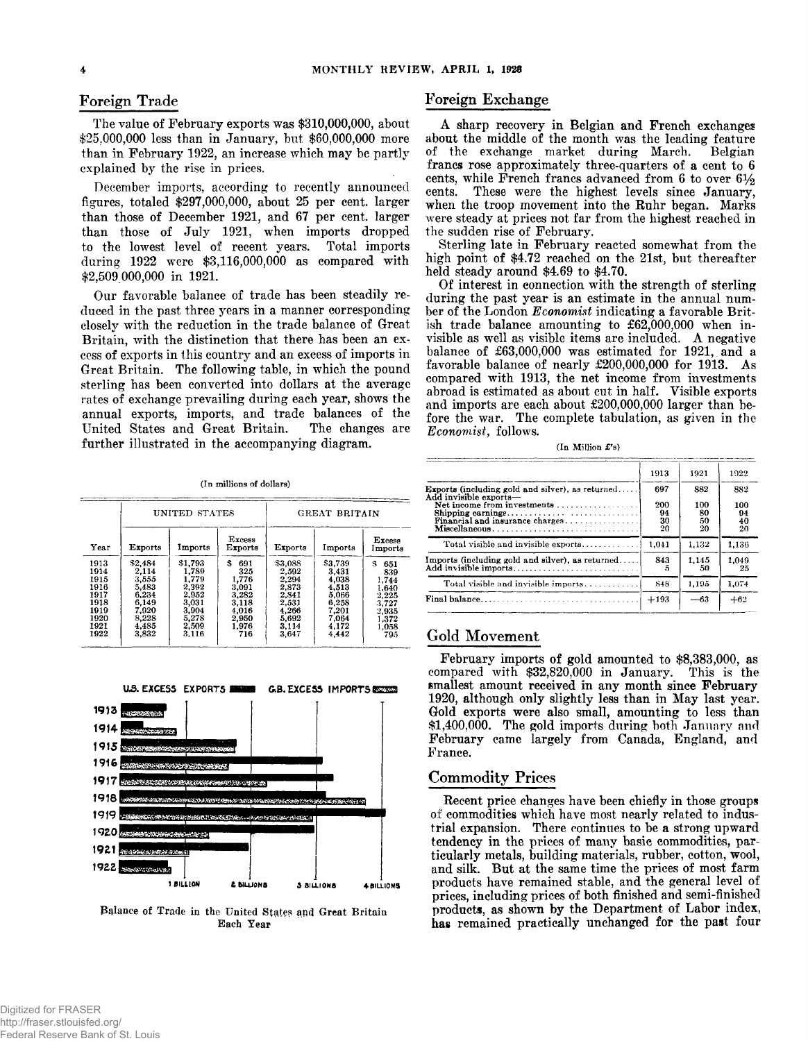### **Foreign Trade**

The value of February exports was \$310,000,000, about \$25,000,000 less than in January, but \$60,000,000 more than in February 1922, an increase which may be partly explained by the rise in prices.

December imports, according to recently announced figures, totaled \$297,000,000, about 25 per cent, larger than those of December 1921, and 67 per cent, larger than those of July 1921, when imports dropped to the lowest level of recent years. Total imports during 1922 were \$3,116,000,000 as compared with \$2,509 000,000 in 1921.

Our favorable balance of trade has been steadily reduced in the past three years in a manner corresponding closely with the reduction in the trade balance of Great Britain, with the distinction that there has been an excess of exports in this country and an excess of imports in Great Britain. The following table, in which the pound sterling has been converted into dollars at the average rates of exchange prevailing during each year, shows the annual exports, imports, and trade balances of the United States and Great Britain. The changes are further illustrated in the accompanying diagram.

**(In millions of dollars)**

|      |                | UNITED STATES |                          | <b>GREAT BRITAIN</b> |         |                          |  |  |
|------|----------------|---------------|--------------------------|----------------------|---------|--------------------------|--|--|
| Year | <b>Exports</b> | Imports       | <b>Excess</b><br>Exports | <b>Exports</b>       | Imports | <b>Excess</b><br>Imports |  |  |
| 1913 | \$2,484        | \$1,793       | 3.<br>691                | \$3,088              | \$3,739 | я<br>651                 |  |  |
| 1914 | 2,114          | 1,789         | 325                      | 2.592                | 3.431   | 839                      |  |  |
| 1915 | 3.555          | 1.779         | 1.776                    | 2.294                | 4,038   | 1,744                    |  |  |
| 1916 | 5,483          | 2,392         | 3.091                    | 2,873                | 4.513   | 1.640                    |  |  |
| 1917 | 6.234          | 2.952         | 3,282                    | 2,841                | 5,066   | 2,225                    |  |  |
| 1918 | 6.149          | 3.031         | 3.118                    | 2,531                | 6,258   | 3,727                    |  |  |
| 1919 | 7.920          | 3.904         | 4.016                    | 4,266                | 7,201   | 2,935                    |  |  |
| 1920 | 8,228          | 5,278         | 2.950                    | 5.692                | 7,064   | 1,372                    |  |  |
| 1921 | 4,485          | 2,509         | 1.976                    | 3,114                | 4,172   | 1.058                    |  |  |
| 1922 | 3,832          | 3.116         | 716                      | 3.647                | 4.442   | 795                      |  |  |



Balance of Trade in the United States and Great Britain **Each Year**

### **Foreign Exchange**

A sharp recovery in Belgian and French exchanges about the middle of the month was the leading feature<br>of the exchange market during March. Belgian the exchange market during March. Belgian francs rose approximately three-quarters of a cent to 6 cents, while French francs advanced from 6 to over  $6\frac{1}{2}$ cents. These were the highest levels since January, when the troop movement into the Ruhr began. Marks were steady at prices not far from the highest reached in the sudden rise of February.

Sterling late in February reacted somewhat from the high point of \$4.72 reached on the 21st, but thereafter held steady around \$4.69 to \$4.70.

Of interest in connection with the strength of sterling during the past year is an estimate in the annual number of the London *Economist* indicating a favorable British trade balance amounting to £62,000,000 when invisible as well as visible items are included. A negative balance of £63,000,000 was estimated for 1921, and a favorable balance of nearly £200,000,000 for 1913. As compared with 1913, the net income from investments abroad is estimated as about cut in half. Visible exports and imports are each about £200,000,000 larger than before the war. The complete tabulation, as given in the *Economist,* follows.

|  | (In Million £'s) |  |
|--|------------------|--|
|--|------------------|--|

| 1913                                                     | 1921                  | 1922                  |
|----------------------------------------------------------|-----------------------|-----------------------|
| 697                                                      | 882                   | 882                   |
| 200<br>94<br>Financial and insurance charges<br>30<br>20 | 100<br>80<br>50<br>20 | 100<br>94<br>40<br>20 |
| 1,041                                                    | 1.132                 | 1,136                 |
| 843<br>ō                                                 | 1.145<br>50           | 1,049<br>25           |
| 848                                                      | 1.195                 | 1.074                 |
| $+193$                                                   | $-63$                 | $+62$                 |
|                                                          |                       |                       |

### **Gold Movement**

February imports of gold amounted to \$8,383,000, as compared with \$32,820,000 in January. This is the smallest amount received in any month since February 1920, although only slightly less than in May last year. Gold exports were also small, amounting to less than \$1,400,000. The gold imports during both January and February came largely from Canada, England, and France.

### **Commodity Prices**

Recent price changes have been chiefly in those groups of commodities which have most nearly related to industrial expansion. There continues to be a strong upward tendency in the prices of many basic commodities, particularly metals, building materials, rubber, cotton, wool, and silk. But at the same time the prices of most farm products have remained stable, and the general level of prices, including prices of both finished and semi-finished products, as shown by the Department of Labor index, has remained practically unchanged for the past four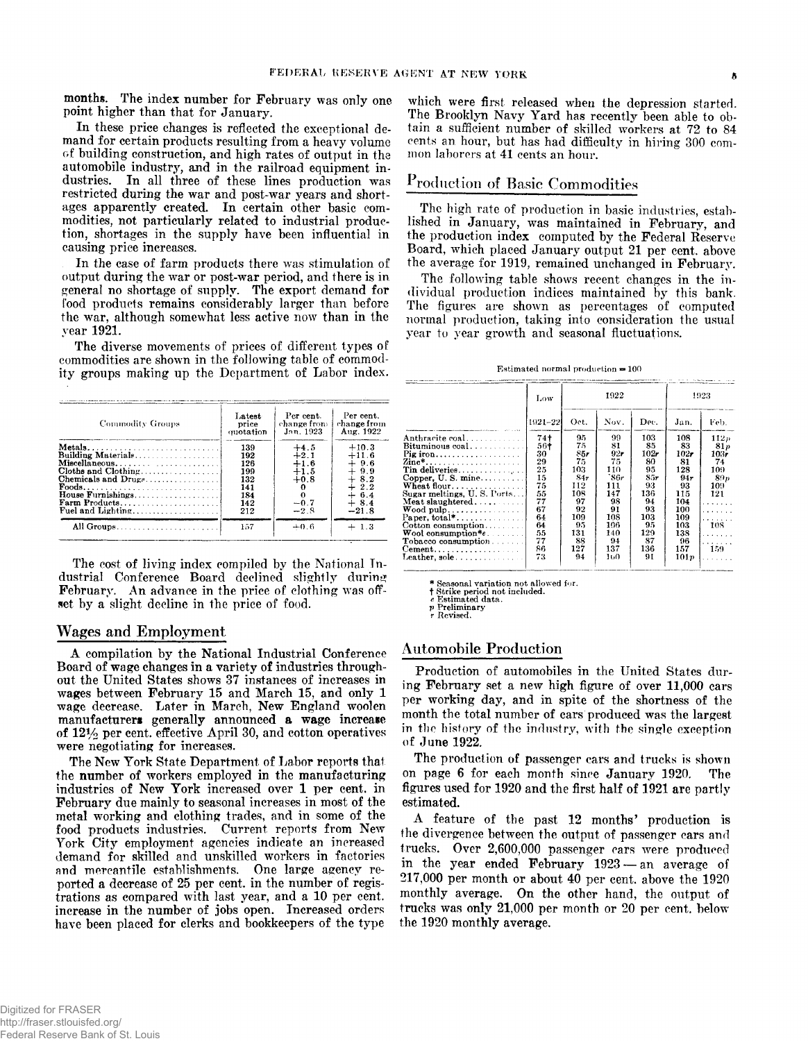months. The index number for February was only one point higher than that for January.

In these price changes is reflected the exceptional demand for certain products resulting from a heavy volume of building construction, and high rates of output in the automobile industry, and in the railroad equipment industries. In all three of these lines production was restricted during the war and post-war years and shortages apparently created. In certain other basic commodities, not particularly related to industrial production, shortages in the supply have been influential in causing price increases.

In the case of farm products there was stimulation of output during the war or post-war period, and there is in general no shortage of supply. The export demand for food products remains considerably larger than before the war, although somewhat less active now than in the year 1921.

The diverse movements of prices of different types of commodities are shown in the following table of commodity groups making up the Department of Labor index.

| Commodity Groups                                                                                                                                 | Latest<br>price<br>quotation                                | Per cent.<br>change from<br>Jan. 1923                              | Per cent.<br>change from<br>Aug. 1922                                                     |
|--------------------------------------------------------------------------------------------------------------------------------------------------|-------------------------------------------------------------|--------------------------------------------------------------------|-------------------------------------------------------------------------------------------|
| Metals<br>Miscellaneous<br>Cloths and Clothing<br>Chemicals and Drugs<br><b>Foods</b><br>House Furnishings<br>Farm Products<br>Fuel and Lighting | 139<br>192<br>126<br>199<br>132<br>141<br>184<br>142<br>212 | $+4.5$<br>$+2.1$<br>$+1.6$<br>$+1.5$<br>$+0.8$<br>$-0.7$<br>$-2.8$ | $+10.3$<br>$+11.6$<br>$+9.6$<br>$+9.9$<br>$+8.2$<br>$+2.2$<br>$+6.4$<br>$+8.4$<br>$-21.8$ |
|                                                                                                                                                  | 157                                                         | $+0.6$                                                             | 1.3                                                                                       |

The cost of living index compiled by the National Industrial Conference Board declined slightly during February. An advance in the price of clothing was offset by a slight decline in the price of food.

### **Wages and Employment**

A compilation by the National Industrial Conference Board of wage changes in a variety of industries throughout the United States shows 37 instances of increases in wages between February 15 and March 15, and only 1 wage decrease. Later in March, New England woolen manufacturers generally announced a wage increase of  $12\frac{1}{2}$  per cent, effective April 30, and cotton operatives were negotiating for increases.

The New York State Department of Labor reports that the number of workers employed in the manufacturing industries of New York increased over 1 per cent, in February due mainly to seasonal increases in most of the metal working and clothing trades, and in some of the food products industries. Current reports from New York City employment agencies indicate an increased demand for skilled and unskilled workers in factories and mercantile establishments. One large agency reported a decrease of 25 per cent, in the number of registrations as compared with last year, and a 10 per cent, increase in the number of jobs open. Increased orders have been placed for clerks and bookkeepers of the type

which were first released when the depression started. The Brooklyn Navy Yard has recently been able to obtain a sufficient number of skilled workers at 72 to 84 cents an hour, but has had difficulty in hiring 300 common laborers at 41 cents an hour.

### **Production of Basic Commodities**

The high rate of production in basic industries, established in January, was maintained in February, and the production index computed by the Federal Reserve Board, which placed January output 21 per cent, above the average for 1919, remained unchanged in February.

The following table shows recent changes in the individual production indices maintained by this bank. The figures are shown as percentages of computed normal production, taking into consideration the usual year to year growth and seasonal fluctuations.

**Estimated normal production = 100**

|                                                  | Low     |      | 1922 | 1923 |      |      |
|--------------------------------------------------|---------|------|------|------|------|------|
|                                                  | 1921-22 | Oct. | Nov. | Dec. | Jan. | Feb. |
| Anthracite coal                                  | $74+$   | 95.  | 99   | 103  | 108  | 112n |
| Bituminous coal                                  | 56†     | 75   | 81   | 85   | 83   | 81n  |
| Pig iron                                         | 30      | 85r  | 92r  | 102r | 102r | 103r |
| Zine*                                            | 29      | 75   | 75   | 80   | 81   | 74   |
| Tin deliveries                                   | 25      | 103  | 110  | 95   | 128  | 109  |
| Conner, U.S. mine                                | 15      | 84r  | `86r | 85r  | 94r  | 89p  |
| Wheat flour                                      | 75      | 112  | 111  | 93   | 93   | 109  |
| Sugar meltings, U.S. Ports                       | 55      | 108  | 147  | 136  | 115  | 121  |
| Meat slaughtered                                 | 77      | 97   | 98   | 94   | 104  |      |
| $\mathbf{Wood}$ pulp                             | 67      | 92   | 91   | 93   | 100  | .    |
| Paper, $total$ *                                 | 64      | 109  | 108  | 103  | 109  | .    |
| Cotton consumption                               | 64      | 95   | 106  | 95   | 103  | 108  |
| $\mathbf{W}$ ool consumption* $e$ .              | 55      | 131  | 140  | 129  | 138  | .    |
| Tobacco consumption                              | 77      | 88   | 94   | 87   | 96   | .    |
| $\mathbf{Cement.}\dots\dots\dots\dots\dots\dots$ | 86      | 127  | 137  | 136  | 157  | 159  |
|                                                  | 73      | 94   | 160  | 91   | 101p |      |

**\* Seasonal variation not allowed for. f Strike period not included.** *e* **Estimated data.**

*V* **Preliminary r Revised.**

### **Automobile Production**

Production of automobiles in the United States during February set a new high figure of over 11,000 cars per working day, and in spite of the shortness of the month the total number of cars produced was the largest in the history of the industry, with the single exception of June 1922.

The production of passenger cars and trucks is shown on page 6 for each month since January 1920. The figures used for 1920 and the first half of 1921 are partly estimated.

A feature of the past 12 months' production is the divergence between the output of passenger cars and trucks. Over 2,600,000 passenger cars were produced in the year ended February 1923 — an average of 217,000 per month or about 40 per cent, above the 1920 monthly average. On the other hand, the output of trucks was only 21,000 per month or 20 per cent, below the 1920 monthly average.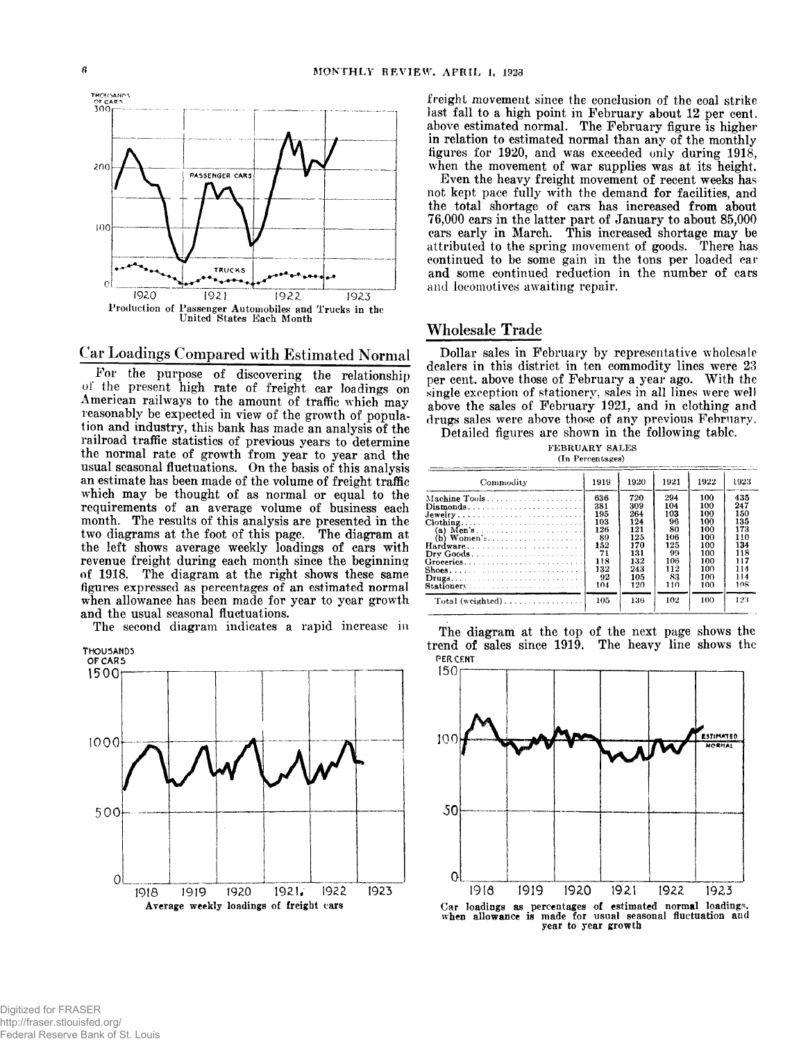

**Car Loadings Compared with Estimated Normal**

For the purpose of discovering the relationship of the present high rate of freight car loadings on American railways to the amount of traffic which may reasonably be expected in view of the growth of population and industry, this bank has made an analysis of the railroad traffic statistics of previous years to determine the normal rate of growth from year to year and the usual seasonal fluctuations. On the basis of this analysis an estimate has been made of the volume of freight traffic which may be thought of as normal or equal to the requirements of an average volume of business each month. The results of this analysis are presented in the two diagrams at the foot of this page. The diagram at the left shows average weekly loadings of cars with revenue freight during each month since the beginning of 1918. The diagram at the right shows these same figures expressed as percentages of an estimated normal when allowance has been made for year to year growth and the usual seasonal fluctuations.

The second diagram indicates a rapid increase in



freight movement since the conclusion of the coal strike last fall to a high point in February about 12 per cent, above estimated normal. The February figure is higher in relation to estimated normal than any of the monthly figures for 1920, and was exceeded only during 1918, when the movement of war supplies was at its height.

Even the heavy freight movement of recent weeks has not kept pace fully with the demand for facilities, and the total shortage of cars has increased from about 76,000 cars in the latter part of January to about 85,000 cars early in March. This increased shortage may be attributed to the spring movement of goods. There has continued to be some gain in the tons per loaded car and some continued reduction in the number of cars and locomotives awaiting repair.

### **Wholesale Trade**

Dollar sales in February by representative wholesale dealers in this district in ten commodity lines were 23 per cent, above those of February a year ago. With the single exception of stationery, sales in all lines were well above the sales of February 1921, and in clothing and drugs sales were above those of any previous February.

Detailed figures are shown in the following table. **FEBRUARY SALES**

**(In Percentages)**

| Commodity                                                          | 1919 | 1920 | 1921 | 1922 | 1923 |
|--------------------------------------------------------------------|------|------|------|------|------|
| Machine Tools                                                      | 636  | 720  | 294  | 100  | 435  |
| $Diamonds, \ldots, \ldots, \ldots, \ldots, \ldots, \ldots, \ldots$ | 381  | 309  | 104  | 100  | 247  |
|                                                                    | 195  | 264  | 103  | 100  | 150  |
|                                                                    | 103  | 124  | 96   | 100  | 135  |
|                                                                    | 126  | 121  | 80   | 100  | 173  |
|                                                                    | 89   | 125  | 106  | 100  | 110  |
|                                                                    | 152  | 170  | 125  | 100  | 134  |
|                                                                    | 71   | 131  | 99   | 100  | 118  |
|                                                                    | 118  | 132  | 106  | 100  | 117  |
|                                                                    | 132  | 243  | 112  | 100  | 114  |
|                                                                    | 92   | 105  | 83   | 100  | 114  |
| Stationery                                                         | 104  | 120  | 110  | 100  | 108  |
| $Total (weighted) \ldots \ldots \ldots \ldots$                     | 105  | 136  | 102  | 100  | 123  |

The diagram at the top of the next page shows the trend of sales since 1919. The heavy line shows the **PERCENT**



**Car loadings as percentages of estimated normal loadings, when allowance is made for usual seasonal fluctuation and year to year growth**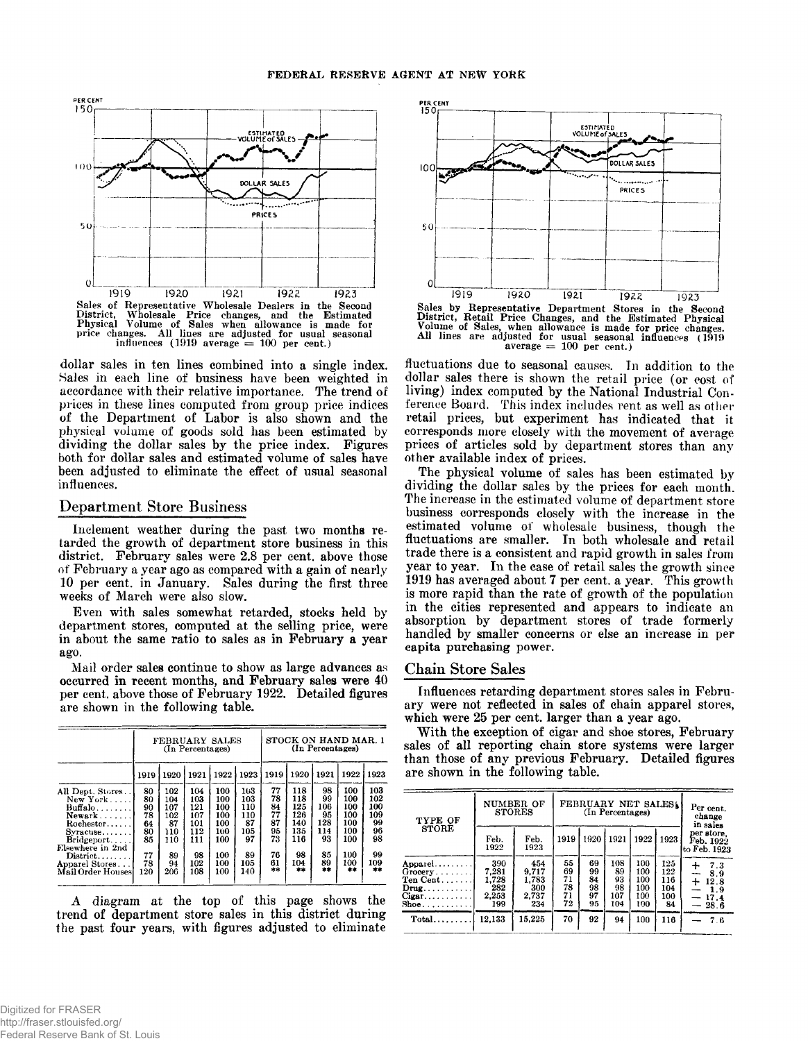

dollar sales in ten lines combined into a single index. Sales in each line of business have been weighted in accordance with their relative importance. The trend of prices in these lines computed from group price indices of the Department of Labor is also shown and the physical volume of goods sold has been estimated by dividing the dollar sales by the price index. Figures both for dollar sales and estimated volume of sales have been adjusted to eliminate the effect of usual seasonal influences.

### **Department Store Business**

Inclement weather during the past two months retarded the growth of department store business in this district. February sales were 2.8 per cent, above those of February a year ago as compared with a gain of nearly 10 per cent, in January. Sales during the first three weeks of March were also slow.

Even with sales somewhat retarded, stocks held by department stores, computed at the selling price, were in about the same ratio to sales as in February a year ago.

Mail order sales continue to show as large advances as occurred in recent months, and February sales were 40 per cent, above those of February 1922. Detailed figures are shown in the following table.

|                                                                                                  | FEBRUARY SALES<br>(In Percentages)     |                                              |                                               |                                               |                                             |                                        | (In Percentages)                              | STOCK ON HAND MAR. 1                      |                                               |                                            |
|--------------------------------------------------------------------------------------------------|----------------------------------------|----------------------------------------------|-----------------------------------------------|-----------------------------------------------|---------------------------------------------|----------------------------------------|-----------------------------------------------|-------------------------------------------|-----------------------------------------------|--------------------------------------------|
|                                                                                                  | 1919                                   | 1920                                         | 1921                                          | 1922                                          | 1923                                        | 1919                                   | 1920                                          | 1921                                      | 1922                                          | 1923                                       |
| All Dept. Stores<br>New York<br>$But$ falo<br>$Newark$<br>Rochester<br>$Syractive$<br>Bridgeport | 80<br>80<br>90<br>78<br>64<br>80<br>85 | 102<br>104<br>107<br>102<br>87<br>110<br>110 | 104<br>103<br>121<br>107<br>101<br>112<br>111 | 100<br>100<br>100<br>100<br>100<br>100<br>100 | 103<br>103<br>110<br>110<br>87<br>105<br>97 | 77<br>78<br>84<br>77<br>87<br>95<br>73 | 118<br>118<br>125<br>126<br>140<br>135<br>116 | 98<br>99<br>106<br>95<br>128<br>114<br>93 | 100<br>100<br>100<br>100<br>100<br>100<br>100 | 103<br>102<br>100<br>109<br>99<br>96<br>98 |
| Elsewhere in 2nd<br>$Distribt$<br>Apparel Stores<br>Mail Order Houses                            | 77<br>78<br>120                        | 89<br>94<br>206                              | 98<br>102<br>108                              | 100<br>100<br>100                             | 89<br>105<br>140                            | 76<br>61<br>大米                         | 98<br>104<br>素素                               | 85<br>89<br>素素                            | 100<br>100<br>水本                              | 99<br>109<br>出来                            |

A diagram at the top of this page shows the trend of department store sales in this district during the past four years, with figures adjusted to eliminate



Sales by Representative Department Stores in the Second<br>District, Retail Price Changes, and the Estimated Physical<br>Volume of Sales, when allowance is made for price changes.<br>All lines are adjusted for usual seasonal influe **average = 100 per cent.)**

fluctuations due to seasonal causes. In addition to the dollar sales there is shown the retail price (or cost of living) index computed by the National Industrial Conference Board. This index includes rent as well as other retail prices, but experiment has indicated that it corresponds more closely with the movement of average prices of articles sold by department stores than any other available index of prices.

The physical volume of sales has been estimated by dividing the dollar sales by the prices for each month. The increase in the estimated volume of department store business corresponds closely with the increase in the estimated volume of wholesale business, though the fluctuations are smaller. In both wholesale and retail trade there is a consistent and rapid growth in sales from year to year. In the case of retail sales the growth since 1919 has averaged about 7 per cent, a year. This growth is more rapid than the rate of growth of the population in the cities represented and appears to indicate an absorption by department stores of trade formerly handled by smaller concerns or else an increase in per capita purchasing power.

### **Chain Store Sales**

Influences retarding department stores sales in February were not reflected in sales of chain apparel stores, which were 25 per cent, larger than a year ago.

With the exception of cigar and shoe stores, February sales of all reporting chain store systems were larger than those of any previous February. Detailed figures are shown in the following table.

| TYPE OF                                                                            | NUMBER OF<br><b>STORES</b>                   |                                              | FEBRUARY NET SALES<br>(In Percentages) | Per cent.<br>change<br>in sales  |                                     |                                        |                                       |                                                                            |
|------------------------------------------------------------------------------------|----------------------------------------------|----------------------------------------------|----------------------------------------|----------------------------------|-------------------------------------|----------------------------------------|---------------------------------------|----------------------------------------------------------------------------|
| <b>STORE</b>                                                                       | Feb.<br>1922                                 | Feb.<br>1923                                 | 1919                                   | 1920                             | 1921                                | 1922                                   | 1923                                  | per store.<br>Feb. 1922<br>to Feb. 1923                                    |
| Apparel<br>$Group \ldots \ldots$<br>Ten Cent<br>$Draw \dots$<br>$Cigar$<br>$Sho$ e | 390<br>7.281<br>1,728<br>282<br>2,253<br>199 | 454<br>9.717<br>1,783<br>300<br>2.737<br>234 | 55<br>69<br>71<br>78<br>71<br>72       | 69<br>99<br>84<br>98<br>97<br>95 | 108<br>89<br>93<br>98<br>107<br>104 | 100<br>100<br>100<br>100<br>100<br>100 | 125<br>122<br>116<br>104<br>100<br>84 | $\div$<br>7.3<br>8.9<br>---<br>$\div$<br>12.8<br>1.9<br>$-17.4$<br>$-28.6$ |
| $Total$                                                                            | 12.133                                       | 15.225                                       | 70                                     | 92                               | 94                                  | 100                                    | 116                                   | 76                                                                         |